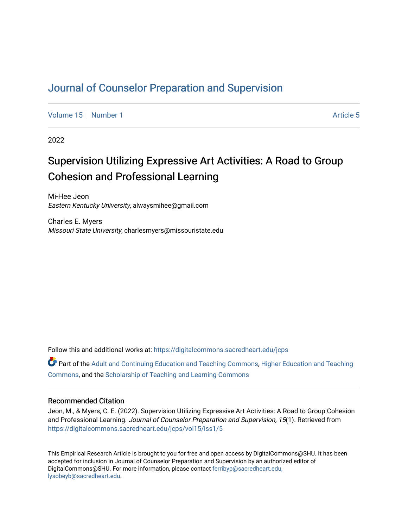## [Journal of Counselor Preparation and Supervision](https://digitalcommons.sacredheart.edu/jcps)

[Volume 15](https://digitalcommons.sacredheart.edu/jcps/vol15) [Number 1](https://digitalcommons.sacredheart.edu/jcps/vol15/iss1) [Article 5](https://digitalcommons.sacredheart.edu/jcps/vol15/iss1/5) Article 5

2022

# Supervision Utilizing Expressive Art Activities: A Road to Group Cohesion and Professional Learning

Mi-Hee Jeon Eastern Kentucky University, alwaysmihee@gmail.com

Charles E. Myers Missouri State University, charlesmyers@missouristate.edu

Follow this and additional works at: [https://digitalcommons.sacredheart.edu/jcps](https://digitalcommons.sacredheart.edu/jcps?utm_source=digitalcommons.sacredheart.edu%2Fjcps%2Fvol15%2Fiss1%2F5&utm_medium=PDF&utm_campaign=PDFCoverPages) 

Part of the [Adult and Continuing Education and Teaching Commons,](http://network.bepress.com/hgg/discipline/804?utm_source=digitalcommons.sacredheart.edu%2Fjcps%2Fvol15%2Fiss1%2F5&utm_medium=PDF&utm_campaign=PDFCoverPages) [Higher Education and Teaching](http://network.bepress.com/hgg/discipline/806?utm_source=digitalcommons.sacredheart.edu%2Fjcps%2Fvol15%2Fiss1%2F5&utm_medium=PDF&utm_campaign=PDFCoverPages) [Commons](http://network.bepress.com/hgg/discipline/806?utm_source=digitalcommons.sacredheart.edu%2Fjcps%2Fvol15%2Fiss1%2F5&utm_medium=PDF&utm_campaign=PDFCoverPages), and the [Scholarship of Teaching and Learning Commons](http://network.bepress.com/hgg/discipline/1328?utm_source=digitalcommons.sacredheart.edu%2Fjcps%2Fvol15%2Fiss1%2F5&utm_medium=PDF&utm_campaign=PDFCoverPages) 

#### Recommended Citation

Jeon, M., & Myers, C. E. (2022). Supervision Utilizing Expressive Art Activities: A Road to Group Cohesion and Professional Learning. Journal of Counselor Preparation and Supervision, 15(1). Retrieved from [https://digitalcommons.sacredheart.edu/jcps/vol15/iss1/5](https://digitalcommons.sacredheart.edu/jcps/vol15/iss1/5?utm_source=digitalcommons.sacredheart.edu%2Fjcps%2Fvol15%2Fiss1%2F5&utm_medium=PDF&utm_campaign=PDFCoverPages)

This Empirical Research Article is brought to you for free and open access by DigitalCommons@SHU. It has been accepted for inclusion in Journal of Counselor Preparation and Supervision by an authorized editor of DigitalCommons@SHU. For more information, please contact [ferribyp@sacredheart.edu,](mailto:ferribyp@sacredheart.edu,%20lysobeyb@sacredheart.edu) [lysobeyb@sacredheart.edu](mailto:ferribyp@sacredheart.edu,%20lysobeyb@sacredheart.edu).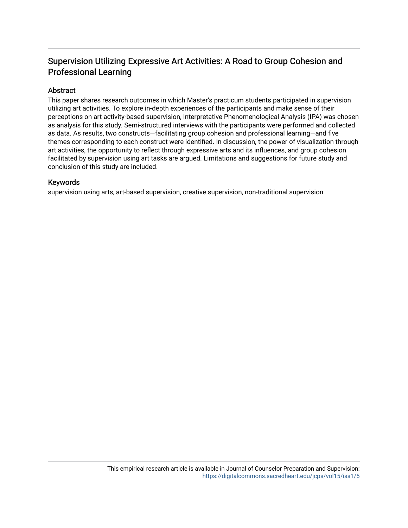## Supervision Utilizing Expressive Art Activities: A Road to Group Cohesion and Professional Learning

## Abstract

This paper shares research outcomes in which Master's practicum students participated in supervision utilizing art activities. To explore in-depth experiences of the participants and make sense of their perceptions on art activity-based supervision, Interpretative Phenomenological Analysis (IPA) was chosen as analysis for this study. Semi-structured interviews with the participants were performed and collected as data. As results, two constructs—facilitating group cohesion and professional learning—and five themes corresponding to each construct were identified. In discussion, the power of visualization through art activities, the opportunity to reflect through expressive arts and its influences, and group cohesion facilitated by supervision using art tasks are argued. Limitations and suggestions for future study and conclusion of this study are included.

#### Keywords

supervision using arts, art-based supervision, creative supervision, non-traditional supervision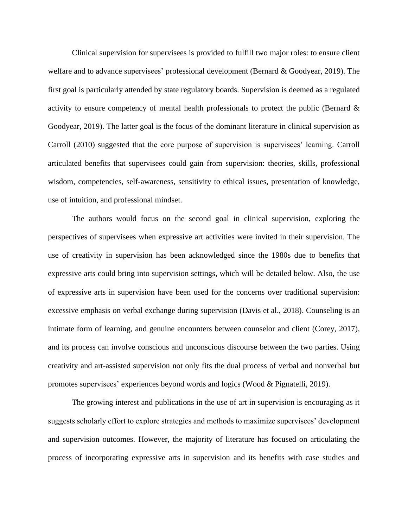Clinical supervision for supervisees is provided to fulfill two major roles: to ensure client welfare and to advance supervisees' professional development (Bernard & Goodyear, 2019). The first goal is particularly attended by state regulatory boards. Supervision is deemed as a regulated activity to ensure competency of mental health professionals to protect the public (Bernard  $\&$ Goodyear, 2019). The latter goal is the focus of the dominant literature in clinical supervision as Carroll (2010) suggested that the core purpose of supervision is supervisees' learning. Carroll articulated benefits that supervisees could gain from supervision: theories, skills, professional wisdom, competencies, self-awareness, sensitivity to ethical issues, presentation of knowledge, use of intuition, and professional mindset.

The authors would focus on the second goal in clinical supervision, exploring the perspectives of supervisees when expressive art activities were invited in their supervision. The use of creativity in supervision has been acknowledged since the 1980s due to benefits that expressive arts could bring into supervision settings, which will be detailed below. Also, the use of expressive arts in supervision have been used for the concerns over traditional supervision: excessive emphasis on verbal exchange during supervision (Davis et al., 2018). Counseling is an intimate form of learning, and genuine encounters between counselor and client (Corey, 2017), and its process can involve conscious and unconscious discourse between the two parties. Using creativity and art-assisted supervision not only fits the dual process of verbal and nonverbal but promotes supervisees' experiences beyond words and logics (Wood & Pignatelli, 2019).

The growing interest and publications in the use of art in supervision is encouraging as it suggests scholarly effort to explore strategies and methods to maximize supervisees' development and supervision outcomes. However, the majority of literature has focused on articulating the process of incorporating expressive arts in supervision and its benefits with case studies and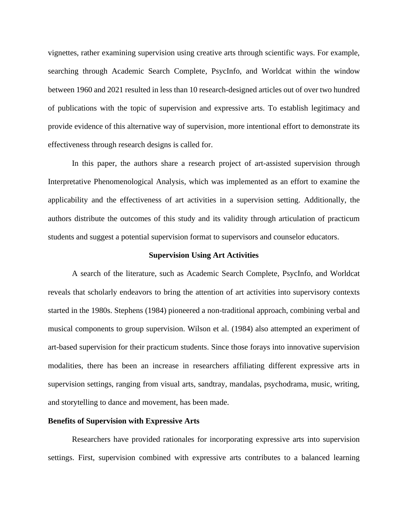vignettes, rather examining supervision using creative arts through scientific ways. For example, searching through Academic Search Complete, PsycInfo, and Worldcat within the window between 1960 and 2021 resulted in less than 10 research-designed articles out of over two hundred of publications with the topic of supervision and expressive arts. To establish legitimacy and provide evidence of this alternative way of supervision, more intentional effort to demonstrate its effectiveness through research designs is called for.

In this paper, the authors share a research project of art-assisted supervision through Interpretative Phenomenological Analysis, which was implemented as an effort to examine the applicability and the effectiveness of art activities in a supervision setting. Additionally, the authors distribute the outcomes of this study and its validity through articulation of practicum students and suggest a potential supervision format to supervisors and counselor educators.

#### **Supervision Using Art Activities**

A search of the literature, such as Academic Search Complete, PsycInfo, and Worldcat reveals that scholarly endeavors to bring the attention of art activities into supervisory contexts started in the 1980s. Stephens (1984) pioneered a non-traditional approach, combining verbal and musical components to group supervision. Wilson et al. (1984) also attempted an experiment of art-based supervision for their practicum students. Since those forays into innovative supervision modalities, there has been an increase in researchers affiliating different expressive arts in supervision settings, ranging from visual arts, sandtray, mandalas, psychodrama, music, writing, and storytelling to dance and movement, has been made.

#### **Benefits of Supervision with Expressive Arts**

Researchers have provided rationales for incorporating expressive arts into supervision settings. First, supervision combined with expressive arts contributes to a balanced learning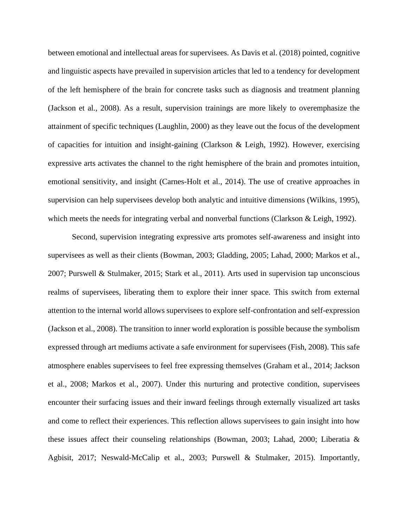between emotional and intellectual areas for supervisees. As Davis et al. (2018) pointed, cognitive and linguistic aspects have prevailed in supervision articles that led to a tendency for development of the left hemisphere of the brain for concrete tasks such as diagnosis and treatment planning (Jackson et al., 2008). As a result, supervision trainings are more likely to overemphasize the attainment of specific techniques (Laughlin, 2000) as they leave out the focus of the development of capacities for intuition and insight-gaining (Clarkson & Leigh, 1992). However, exercising expressive arts activates the channel to the right hemisphere of the brain and promotes intuition, emotional sensitivity, and insight (Carnes-Holt et al., 2014). The use of creative approaches in supervision can help supervisees develop both analytic and intuitive dimensions (Wilkins, 1995), which meets the needs for integrating verbal and nonverbal functions (Clarkson & Leigh, 1992).

Second, supervision integrating expressive arts promotes self-awareness and insight into supervisees as well as their clients (Bowman, 2003; Gladding, 2005; Lahad, 2000; Markos et al., 2007; Purswell & Stulmaker, 2015; Stark et al., 2011). Arts used in supervision tap unconscious realms of supervisees, liberating them to explore their inner space. This switch from external attention to the internal world allows supervisees to explore self-confrontation and self-expression (Jackson et al., 2008). The transition to inner world exploration is possible because the symbolism expressed through art mediums activate a safe environment for supervisees (Fish, 2008). This safe atmosphere enables supervisees to feel free expressing themselves (Graham et al., 2014; Jackson et al., 2008; Markos et al., 2007). Under this nurturing and protective condition, supervisees encounter their surfacing issues and their inward feelings through externally visualized art tasks and come to reflect their experiences. This reflection allows supervisees to gain insight into how these issues affect their counseling relationships (Bowman, 2003; Lahad, 2000; Liberatia & Agbisit, 2017; Neswald-McCalip et al., 2003; Purswell & Stulmaker, 2015). Importantly,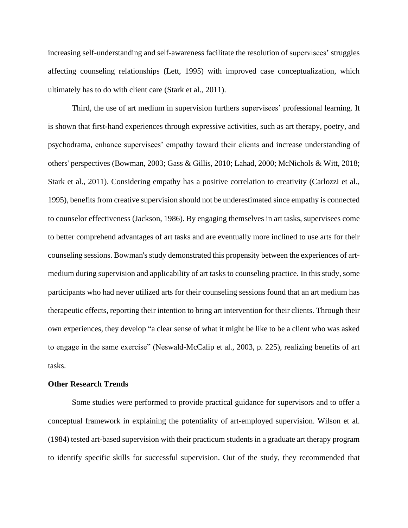increasing self-understanding and self-awareness facilitate the resolution of supervisees' struggles affecting counseling relationships (Lett, 1995) with improved case conceptualization, which ultimately has to do with client care (Stark et al., 2011).

Third, the use of art medium in supervision furthers supervisees' professional learning. It is shown that first-hand experiences through expressive activities, such as art therapy, poetry, and psychodrama, enhance supervisees' empathy toward their clients and increase understanding of others' perspectives (Bowman, 2003; Gass & Gillis, 2010; Lahad, 2000; McNichols & Witt, 2018; Stark et al., 2011). Considering empathy has a positive correlation to creativity (Carlozzi et al., 1995), benefits from creative supervision should not be underestimated since empathy is connected to counselor effectiveness (Jackson, 1986). By engaging themselves in art tasks, supervisees come to better comprehend advantages of art tasks and are eventually more inclined to use arts for their counseling sessions. Bowman's study demonstrated this propensity between the experiences of artmedium during supervision and applicability of art tasks to counseling practice. In this study, some participants who had never utilized arts for their counseling sessions found that an art medium has therapeutic effects, reporting their intention to bring art intervention for their clients. Through their own experiences, they develop "a clear sense of what it might be like to be a client who was asked to engage in the same exercise" (Neswald-McCalip et al., 2003, p. 225), realizing benefits of art tasks.

#### **Other Research Trends**

Some studies were performed to provide practical guidance for supervisors and to offer a conceptual framework in explaining the potentiality of art-employed supervision. Wilson et al. (1984) tested art-based supervision with their practicum students in a graduate art therapy program to identify specific skills for successful supervision. Out of the study, they recommended that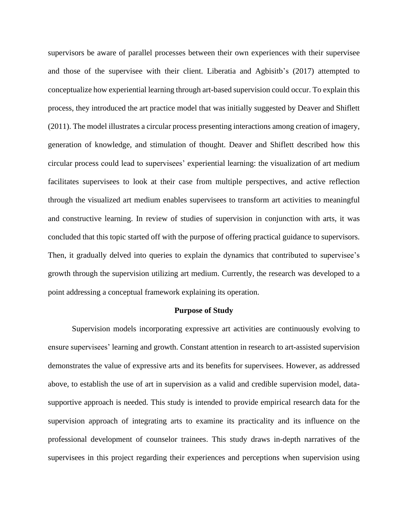supervisors be aware of parallel processes between their own experiences with their supervisee and those of the supervisee with their client. Liberatia and Agbisitb's (2017) attempted to conceptualize how experiential learning through art-based supervision could occur. To explain this process, they introduced the art practice model that was initially suggested by Deaver and Shiflett (2011). The model illustrates a circular process presenting interactions among creation of imagery, generation of knowledge, and stimulation of thought. Deaver and Shiflett described how this circular process could lead to supervisees' experiential learning: the visualization of art medium facilitates supervisees to look at their case from multiple perspectives, and active reflection through the visualized art medium enables supervisees to transform art activities to meaningful and constructive learning. In review of studies of supervision in conjunction with arts, it was concluded that this topic started off with the purpose of offering practical guidance to supervisors. Then, it gradually delved into queries to explain the dynamics that contributed to supervisee's growth through the supervision utilizing art medium. Currently, the research was developed to a point addressing a conceptual framework explaining its operation.

#### **Purpose of Study**

Supervision models incorporating expressive art activities are continuously evolving to ensure supervisees' learning and growth. Constant attention in research to art-assisted supervision demonstrates the value of expressive arts and its benefits for supervisees. However, as addressed above, to establish the use of art in supervision as a valid and credible supervision model, datasupportive approach is needed. This study is intended to provide empirical research data for the supervision approach of integrating arts to examine its practicality and its influence on the professional development of counselor trainees. This study draws in-depth narratives of the supervisees in this project regarding their experiences and perceptions when supervision using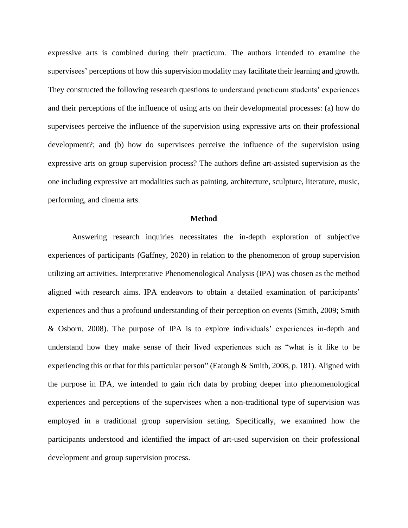expressive arts is combined during their practicum. The authors intended to examine the supervisees' perceptions of how this supervision modality may facilitate their learning and growth. They constructed the following research questions to understand practicum students' experiences and their perceptions of the influence of using arts on their developmental processes: (a) how do supervisees perceive the influence of the supervision using expressive arts on their professional development?; and (b) how do supervisees perceive the influence of the supervision using expressive arts on group supervision process? The authors define art-assisted supervision as the one including expressive art modalities such as painting, architecture, sculpture, literature, music, performing, and cinema arts.

#### **Method**

Answering research inquiries necessitates the in-depth exploration of subjective experiences of participants (Gaffney, 2020) in relation to the phenomenon of group supervision utilizing art activities. Interpretative Phenomenological Analysis (IPA) was chosen as the method aligned with research aims. IPA endeavors to obtain a detailed examination of participants' experiences and thus a profound understanding of their perception on events (Smith, 2009; Smith & Osborn, 2008). The purpose of IPA is to explore individuals' experiences in-depth and understand how they make sense of their lived experiences such as "what is it like to be experiencing this or that for this particular person" (Eatough & Smith, 2008, p. 181). Aligned with the purpose in IPA, we intended to gain rich data by probing deeper into phenomenological experiences and perceptions of the supervisees when a non-traditional type of supervision was employed in a traditional group supervision setting. Specifically, we examined how the participants understood and identified the impact of art-used supervision on their professional development and group supervision process.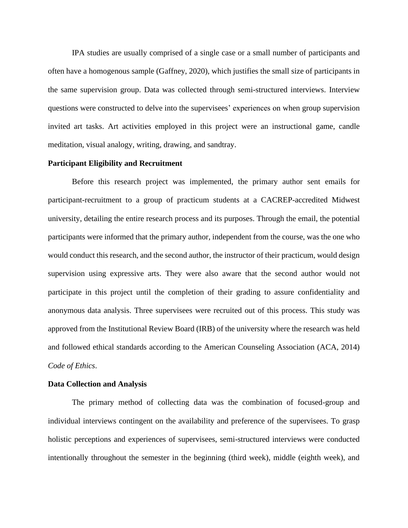IPA studies are usually comprised of a single case or a small number of participants and often have a homogenous sample (Gaffney, 2020), which justifies the small size of participants in the same supervision group. Data was collected through semi-structured interviews. Interview questions were constructed to delve into the supervisees' experiences on when group supervision invited art tasks. Art activities employed in this project were an instructional game, candle meditation, visual analogy, writing, drawing, and sandtray.

#### **Participant Eligibility and Recruitment**

Before this research project was implemented, the primary author sent emails for participant-recruitment to a group of practicum students at a CACREP-accredited Midwest university, detailing the entire research process and its purposes. Through the email, the potential participants were informed that the primary author, independent from the course, was the one who would conduct this research, and the second author, the instructor of their practicum, would design supervision using expressive arts. They were also aware that the second author would not participate in this project until the completion of their grading to assure confidentiality and anonymous data analysis. Three supervisees were recruited out of this process. This study was approved from the Institutional Review Board (IRB) of the university where the research was held and followed ethical standards according to the American Counseling Association (ACA, 2014) *Code of Ethics*.

#### **Data Collection and Analysis**

The primary method of collecting data was the combination of focused-group and individual interviews contingent on the availability and preference of the supervisees. To grasp holistic perceptions and experiences of supervisees, semi-structured interviews were conducted intentionally throughout the semester in the beginning (third week), middle (eighth week), and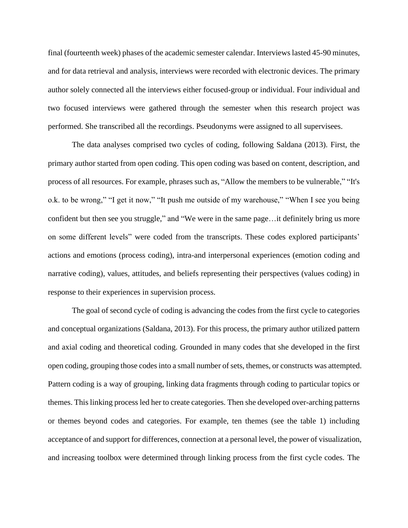final (fourteenth week) phases of the academic semester calendar. Interviews lasted 45-90 minutes, and for data retrieval and analysis, interviews were recorded with electronic devices. The primary author solely connected all the interviews either focused-group or individual. Four individual and two focused interviews were gathered through the semester when this research project was performed. She transcribed all the recordings. Pseudonyms were assigned to all supervisees.

The data analyses comprised two cycles of coding, following Saldana (2013). First, the primary author started from open coding. This open coding was based on content, description, and process of all resources. For example, phrases such as, "Allow the members to be vulnerable," "It's o.k. to be wrong," "I get it now," "It push me outside of my warehouse," "When I see you being confident but then see you struggle," and "We were in the same page…it definitely bring us more on some different levels" were coded from the transcripts. These codes explored participants' actions and emotions (process coding), intra-and interpersonal experiences (emotion coding and narrative coding), values, attitudes, and beliefs representing their perspectives (values coding) in response to their experiences in supervision process.

The goal of second cycle of coding is advancing the codes from the first cycle to categories and conceptual organizations (Saldana, 2013). For this process, the primary author utilized pattern and axial coding and theoretical coding. Grounded in many codes that she developed in the first open coding, grouping those codes into a small number of sets, themes, or constructs was attempted. Pattern coding is a way of grouping, linking data fragments through coding to particular topics or themes. This linking process led her to create categories. Then she developed over-arching patterns or themes beyond codes and categories. For example, ten themes (see the table 1) including acceptance of and support for differences, connection at a personal level, the power of visualization, and increasing toolbox were determined through linking process from the first cycle codes. The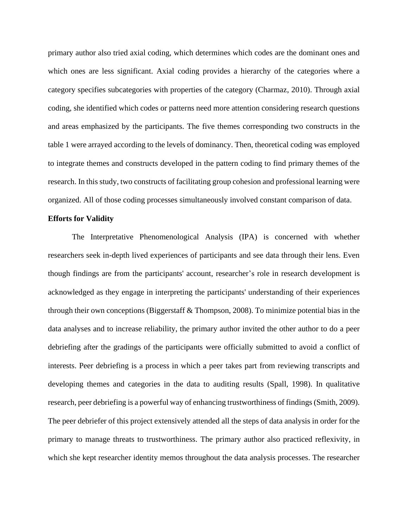primary author also tried axial coding, which determines which codes are the dominant ones and which ones are less significant. Axial coding provides a hierarchy of the categories where a category specifies subcategories with properties of the category (Charmaz, 2010). Through axial coding, she identified which codes or patterns need more attention considering research questions and areas emphasized by the participants. The five themes corresponding two constructs in the table 1 were arrayed according to the levels of dominancy. Then, theoretical coding was employed to integrate themes and constructs developed in the pattern coding to find primary themes of the research. In this study, two constructs of facilitating group cohesion and professional learning were organized. All of those coding processes simultaneously involved constant comparison of data.

#### **Efforts for Validity**

The Interpretative Phenomenological Analysis (IPA) is concerned with whether researchers seek in-depth lived experiences of participants and see data through their lens. Even though findings are from the participants' account, researcher's role in research development is acknowledged as they engage in interpreting the participants' understanding of their experiences through their own conceptions (Biggerstaff & Thompson, 2008). To minimize potential bias in the data analyses and to increase reliability, the primary author invited the other author to do a peer debriefing after the gradings of the participants were officially submitted to avoid a conflict of interests. Peer debriefing is a process in which a peer takes part from reviewing transcripts and developing themes and categories in the data to auditing results (Spall, 1998). In qualitative research, peer debriefing is a powerful way of enhancing trustworthiness of findings (Smith, 2009). The peer debriefer of this project extensively attended all the steps of data analysis in order for the primary to manage threats to trustworthiness. The primary author also practiced reflexivity, in which she kept researcher identity memos throughout the data analysis processes. The researcher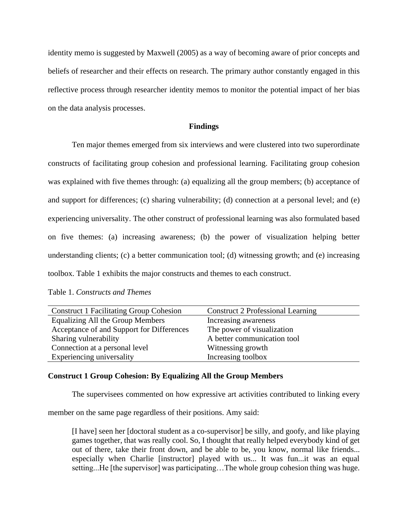identity memo is suggested by Maxwell (2005) as a way of becoming aware of prior concepts and beliefs of researcher and their effects on research. The primary author constantly engaged in this reflective process through researcher identity memos to monitor the potential impact of her bias on the data analysis processes.

#### **Findings**

Ten major themes emerged from six interviews and were clustered into two superordinate constructs of facilitating group cohesion and professional learning. Facilitating group cohesion was explained with five themes through: (a) equalizing all the group members; (b) acceptance of and support for differences; (c) sharing vulnerability; (d) connection at a personal level; and (e) experiencing universality. The other construct of professional learning was also formulated based on five themes: (a) increasing awareness; (b) the power of visualization helping better understanding clients; (c) a better communication tool; (d) witnessing growth; and (e) increasing toolbox. Table 1 exhibits the major constructs and themes to each construct.

Table 1. *Constructs and Themes*

| <b>Construct 1 Facilitating Group Cohesion</b> | <b>Construct 2 Professional Learning</b> |
|------------------------------------------------|------------------------------------------|
| Equalizing All the Group Members               | Increasing awareness                     |
| Acceptance of and Support for Differences      | The power of visualization               |
| Sharing vulnerability                          | A better communication tool              |
| Connection at a personal level                 | Witnessing growth                        |
| Experiencing universality                      | Increasing toolbox                       |

#### **Construct 1 Group Cohesion: By Equalizing All the Group Members**

The supervisees commented on how expressive art activities contributed to linking every

member on the same page regardless of their positions. Amy said:

[I have] seen her [doctoral student as a co-supervisor] be silly, and goofy, and like playing games together, that was really cool. So, I thought that really helped everybody kind of get out of there, take their front down, and be able to be, you know, normal like friends... especially when Charlie [instructor] played with us... It was fun...it was an equal setting...He [the supervisor] was participating…The whole group cohesion thing was huge.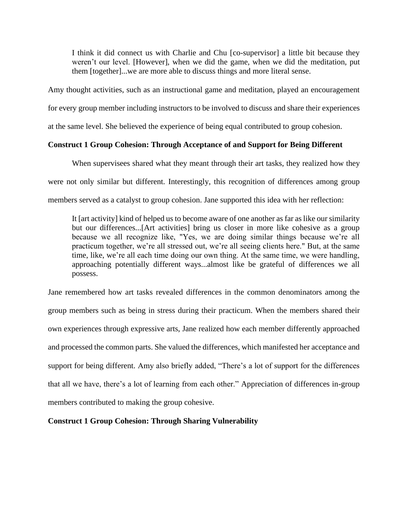I think it did connect us with Charlie and Chu [co-supervisor] a little bit because they weren't our level. [However], when we did the game, when we did the meditation, put them [together]...we are more able to discuss things and more literal sense.

Amy thought activities, such as an instructional game and meditation, played an encouragement

for every group member including instructors to be involved to discuss and share their experiences

at the same level. She believed the experience of being equal contributed to group cohesion.

## **Construct 1 Group Cohesion: Through Acceptance of and Support for Being Different**

When supervisees shared what they meant through their art tasks, they realized how they were not only similar but different. Interestingly, this recognition of differences among group members served as a catalyst to group cohesion. Jane supported this idea with her reflection:

It [art activity] kind of helped us to become aware of one another as far as like our similarity but our differences...[Art activities] bring us closer in more like cohesive as a group because we all recognize like, "Yes, we are doing similar things because we're all practicum together, we're all stressed out, we're all seeing clients here." But, at the same time, like, we're all each time doing our own thing. At the same time, we were handling, approaching potentially different ways...almost like be grateful of differences we all possess.

Jane remembered how art tasks revealed differences in the common denominators among the group members such as being in stress during their practicum. When the members shared their own experiences through expressive arts, Jane realized how each member differently approached and processed the common parts. She valued the differences, which manifested her acceptance and support for being different. Amy also briefly added, "There's a lot of support for the differences that all we have, there's a lot of learning from each other." Appreciation of differences in-group members contributed to making the group cohesive.

## **Construct 1 Group Cohesion: Through Sharing Vulnerability**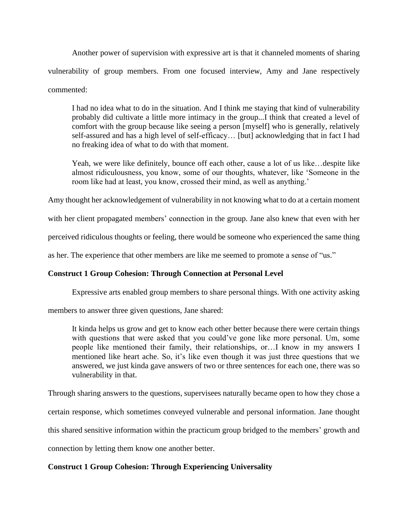Another power of supervision with expressive art is that it channeled moments of sharing vulnerability of group members. From one focused interview, Amy and Jane respectively commented:

I had no idea what to do in the situation. And I think me staying that kind of vulnerability probably did cultivate a little more intimacy in the group...I think that created a level of comfort with the group because like seeing a person [myself] who is generally, relatively self-assured and has a high level of self-efficacy… [but] acknowledging that in fact I had no freaking idea of what to do with that moment.

Yeah, we were like definitely, bounce off each other, cause a lot of us like…despite like almost ridiculousness, you know, some of our thoughts, whatever, like 'Someone in the room like had at least, you know, crossed their mind, as well as anything.'

Amy thought her acknowledgement of vulnerability in not knowing what to do at a certain moment

with her client propagated members' connection in the group. Jane also knew that even with her

perceived ridiculous thoughts or feeling, there would be someone who experienced the same thing

as her. The experience that other members are like me seemed to promote a sense of "us."

## **Construct 1 Group Cohesion: Through Connection at Personal Level**

Expressive arts enabled group members to share personal things. With one activity asking

members to answer three given questions, Jane shared:

It kinda helps us grow and get to know each other better because there were certain things with questions that were asked that you could've gone like more personal. Um, some people like mentioned their family, their relationships, or…I know in my answers I mentioned like heart ache. So, it's like even though it was just three questions that we answered, we just kinda gave answers of two or three sentences for each one, there was so vulnerability in that.

Through sharing answers to the questions, supervisees naturally became open to how they chose a

certain response, which sometimes conveyed vulnerable and personal information. Jane thought

this shared sensitive information within the practicum group bridged to the members' growth and

connection by letting them know one another better.

## **Construct 1 Group Cohesion: Through Experiencing Universality**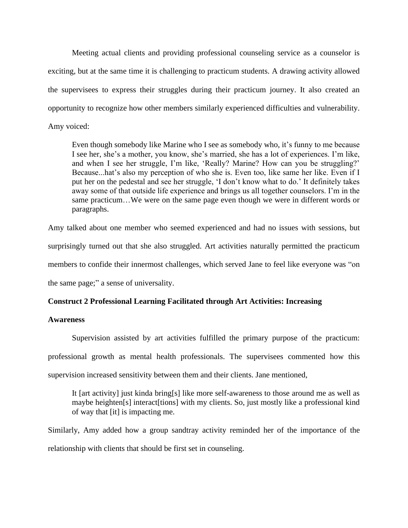Meeting actual clients and providing professional counseling service as a counselor is exciting, but at the same time it is challenging to practicum students. A drawing activity allowed the supervisees to express their struggles during their practicum journey. It also created an opportunity to recognize how other members similarly experienced difficulties and vulnerability. Amy voiced:

Even though somebody like Marine who I see as somebody who, it's funny to me because I see her, she's a mother, you know, she's married, she has a lot of experiences. I'm like, and when I see her struggle, I'm like, 'Really? Marine? How can you be struggling?' Because...hat's also my perception of who she is. Even too, like same her like. Even if I put her on the pedestal and see her struggle, 'I don't know what to do.' It definitely takes away some of that outside life experience and brings us all together counselors. I'm in the same practicum…We were on the same page even though we were in different words or paragraphs.

Amy talked about one member who seemed experienced and had no issues with sessions, but surprisingly turned out that she also struggled. Art activities naturally permitted the practicum members to confide their innermost challenges, which served Jane to feel like everyone was "on the same page;" a sense of universality.

## **Construct 2 Professional Learning Facilitated through Art Activities: Increasing**

## **Awareness**

Supervision assisted by art activities fulfilled the primary purpose of the practicum: professional growth as mental health professionals. The supervisees commented how this supervision increased sensitivity between them and their clients. Jane mentioned,

It [art activity] just kinda bring[s] like more self-awareness to those around me as well as maybe heighten[s] interact[tions] with my clients. So, just mostly like a professional kind of way that [it] is impacting me.

Similarly, Amy added how a group sandtray activity reminded her of the importance of the relationship with clients that should be first set in counseling.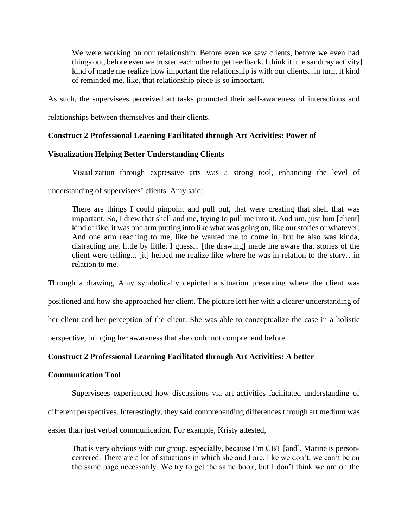We were working on our relationship. Before even we saw clients, before we even had things out, before even we trusted each other to get feedback. I think it [the sandtray activity] kind of made me realize how important the relationship is with our clients...in turn, it kind of reminded me, like, that relationship piece is so important.

As such, the supervisees perceived art tasks promoted their self-awareness of interactions and

relationships between themselves and their clients.

## **Construct 2 Professional Learning Facilitated through Art Activities: Power of**

## **Visualization Helping Better Understanding Clients**

Visualization through expressive arts was a strong tool, enhancing the level of

understanding of supervisees' clients. Amy said:

There are things I could pinpoint and pull out, that were creating that shell that was important. So, I drew that shell and me, trying to pull me into it. And um, just him [client] kind of like, it was one arm putting into like what was going on, like our stories or whatever. And one arm reaching to me, like he wanted me to come in, but he also was kinda, distracting me, little by little, I guess... [the drawing] made me aware that stories of the client were telling... [it] helped me realize like where he was in relation to the story…in relation to me.

Through a drawing, Amy symbolically depicted a situation presenting where the client was

positioned and how she approached her client. The picture left her with a clearer understanding of

her client and her perception of the client. She was able to conceptualize the case in a holistic

perspective, bringing her awareness that she could not comprehend before.

## **Construct 2 Professional Learning Facilitated through Art Activities: A better**

### **Communication Tool**

Supervisees experienced how discussions via art activities facilitated understanding of

different perspectives. Interestingly, they said comprehending differences through art medium was

easier than just verbal communication. For example, Kristy attested,

That is very obvious with our group, especially, because I'm CBT [and], Marine is personcentered. There are a lot of situations in which she and I are, like we don't, we can't be on the same page necessarily. We try to get the same book, but I don't think we are on the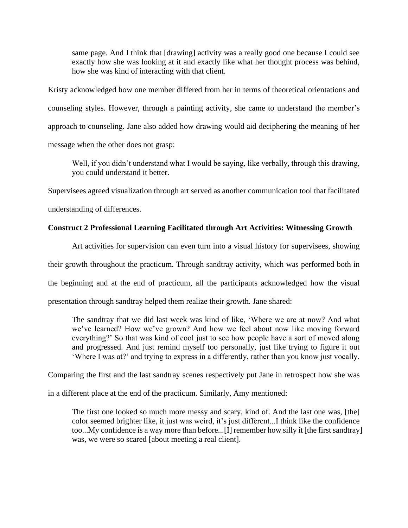same page. And I think that [drawing] activity was a really good one because I could see exactly how she was looking at it and exactly like what her thought process was behind, how she was kind of interacting with that client.

Kristy acknowledged how one member differed from her in terms of theoretical orientations and counseling styles. However, through a painting activity, she came to understand the member's approach to counseling. Jane also added how drawing would aid deciphering the meaning of her message when the other does not grasp:

Well, if you didn't understand what I would be saying, like verbally, through this drawing, you could understand it better.

Supervisees agreed visualization through art served as another communication tool that facilitated

understanding of differences.

## **Construct 2 Professional Learning Facilitated through Art Activities: Witnessing Growth**

Art activities for supervision can even turn into a visual history for supervisees, showing their growth throughout the practicum. Through sandtray activity, which was performed both in the beginning and at the end of practicum, all the participants acknowledged how the visual presentation through sandtray helped them realize their growth. Jane shared:

The sandtray that we did last week was kind of like, 'Where we are at now? And what we've learned? How we've grown? And how we feel about now like moving forward everything?' So that was kind of cool just to see how people have a sort of moved along and progressed. And just remind myself too personally, just like trying to figure it out 'Where I was at?' and trying to express in a differently, rather than you know just vocally.

Comparing the first and the last sandtray scenes respectively put Jane in retrospect how she was

in a different place at the end of the practicum. Similarly, Amy mentioned:

The first one looked so much more messy and scary, kind of. And the last one was, [the] color seemed brighter like, it just was weird, it's just different...I think like the confidence too...My confidence is a way more than before...[I] remember how silly it [the first sandtray] was, we were so scared [about meeting a real client].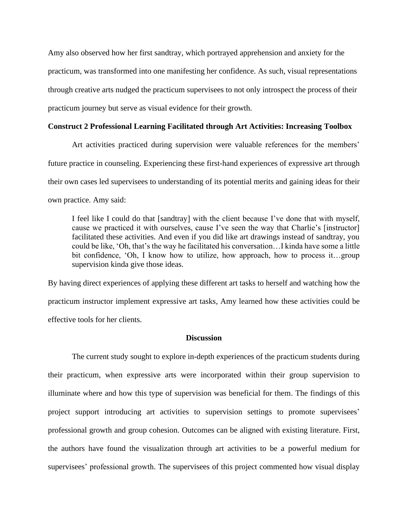Amy also observed how her first sandtray, which portrayed apprehension and anxiety for the practicum, was transformed into one manifesting her confidence. As such, visual representations through creative arts nudged the practicum supervisees to not only introspect the process of their practicum journey but serve as visual evidence for their growth.

### **Construct 2 Professional Learning Facilitated through Art Activities: Increasing Toolbox**

Art activities practiced during supervision were valuable references for the members' future practice in counseling. Experiencing these first-hand experiences of expressive art through their own cases led supervisees to understanding of its potential merits and gaining ideas for their own practice. Amy said:

I feel like I could do that [sandtray] with the client because I've done that with myself, cause we practiced it with ourselves, cause I've seen the way that Charlie's [instructor] facilitated these activities. And even if you did like art drawings instead of sandtray, you could be like, 'Oh, that's the way he facilitated his conversation…I kinda have some a little bit confidence, 'Oh, I know how to utilize, how approach, how to process it…group supervision kinda give those ideas.

By having direct experiences of applying these different art tasks to herself and watching how the practicum instructor implement expressive art tasks, Amy learned how these activities could be effective tools for her clients.

### **Discussion**

The current study sought to explore in-depth experiences of the practicum students during their practicum, when expressive arts were incorporated within their group supervision to illuminate where and how this type of supervision was beneficial for them. The findings of this project support introducing art activities to supervision settings to promote supervisees' professional growth and group cohesion. Outcomes can be aligned with existing literature. First, the authors have found the visualization through art activities to be a powerful medium for supervisees' professional growth. The supervisees of this project commented how visual display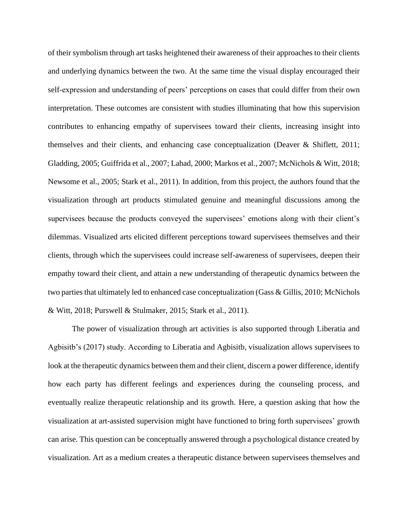of their symbolism through art tasks heightened their awareness of their approaches to their clients and underlying dynamics between the two. At the same time the visual display encouraged their self-expression and understanding of peers' perceptions on cases that could differ from their own interpretation. These outcomes are consistent with studies illuminating that how this supervision contributes to enhancing empathy of supervisees toward their clients, increasing insight into themselves and their clients, and enhancing case conceptualization (Deaver & Shiflett, 2011; Gladding, 2005; Guiffrida et al., 2007; Lahad, 2000; Markos et al., 2007; McNichols & Witt, 2018; Newsome et al., 2005; Stark et al., 2011). In addition, from this project, the authors found that the visualization through art products stimulated genuine and meaningful discussions among the supervisees because the products conveyed the supervisees' emotions along with their client's dilemmas. Visualized arts elicited different perceptions toward supervisees themselves and their clients, through which the supervisees could increase self-awareness of supervisees, deepen their empathy toward their client, and attain a new understanding of therapeutic dynamics between the two parties that ultimately led to enhanced case conceptualization (Gass & Gillis, 2010; McNichols & Witt, 2018; Purswell & Stulmaker, 2015; Stark et al., 2011).

The power of visualization through art activities is also supported through Liberatia and Agbisitb's (2017) study. According to Liberatia and Agbisitb, visualization allows supervisees to look at the therapeutic dynamics between them and their client, discern a power difference, identify how each party has different feelings and experiences during the counseling process, and eventually realize therapeutic relationship and its growth. Here, a question asking that how the visualization at art-assisted supervision might have functioned to bring forth supervisees' growth can arise. This question can be conceptually answered through a psychological distance created by visualization. Art as a medium creates a therapeutic distance between supervisees themselves and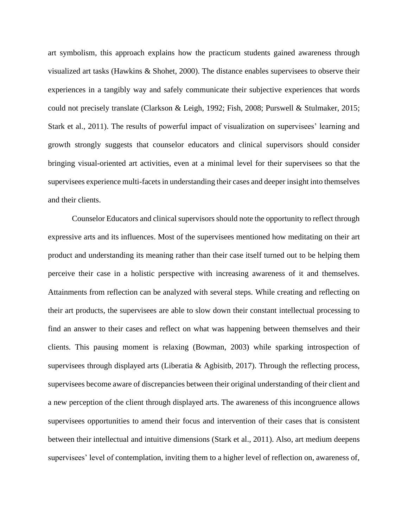art symbolism, this approach explains how the practicum students gained awareness through visualized art tasks (Hawkins & Shohet, 2000). The distance enables supervisees to observe their experiences in a tangibly way and safely communicate their subjective experiences that words could not precisely translate (Clarkson & Leigh, 1992; Fish, 2008; Purswell & Stulmaker, 2015; Stark et al., 2011). The results of powerful impact of visualization on supervisees' learning and growth strongly suggests that counselor educators and clinical supervisors should consider bringing visual-oriented art activities, even at a minimal level for their supervisees so that the supervisees experience multi-facets in understanding their cases and deeper insight into themselves and their clients.

Counselor Educators and clinical supervisors should note the opportunity to reflect through expressive arts and its influences. Most of the supervisees mentioned how meditating on their art product and understanding its meaning rather than their case itself turned out to be helping them perceive their case in a holistic perspective with increasing awareness of it and themselves. Attainments from reflection can be analyzed with several steps. While creating and reflecting on their art products, the supervisees are able to slow down their constant intellectual processing to find an answer to their cases and reflect on what was happening between themselves and their clients. This pausing moment is relaxing (Bowman, 2003) while sparking introspection of supervisees through displayed arts (Liberatia  $\&$  Agbisitb, 2017). Through the reflecting process, supervisees become aware of discrepancies between their original understanding of their client and a new perception of the client through displayed arts. The awareness of this incongruence allows supervisees opportunities to amend their focus and intervention of their cases that is consistent between their intellectual and intuitive dimensions (Stark et al., 2011). Also, art medium deepens supervisees' level of contemplation, inviting them to a higher level of reflection on, awareness of,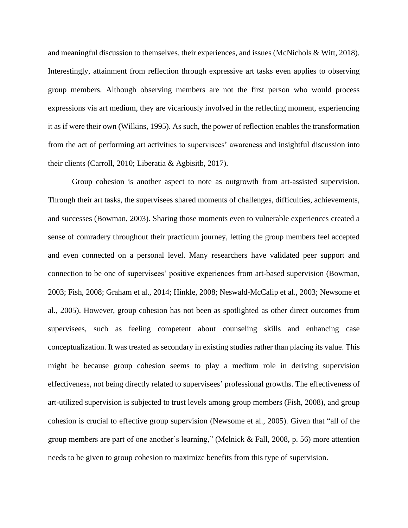and meaningful discussion to themselves, their experiences, and issues (McNichols & Witt, 2018). Interestingly, attainment from reflection through expressive art tasks even applies to observing group members. Although observing members are not the first person who would process expressions via art medium, they are vicariously involved in the reflecting moment, experiencing it as if were their own (Wilkins, 1995). As such, the power of reflection enables the transformation from the act of performing art activities to supervisees' awareness and insightful discussion into their clients (Carroll, 2010; Liberatia & Agbisitb, 2017).

Group cohesion is another aspect to note as outgrowth from art-assisted supervision. Through their art tasks, the supervisees shared moments of challenges, difficulties, achievements, and successes (Bowman, 2003). Sharing those moments even to vulnerable experiences created a sense of comradery throughout their practicum journey, letting the group members feel accepted and even connected on a personal level. Many researchers have validated peer support and connection to be one of supervisees' positive experiences from art-based supervision (Bowman, 2003; Fish, 2008; Graham et al., 2014; Hinkle, 2008; Neswald-McCalip et al., 2003; Newsome et al., 2005). However, group cohesion has not been as spotlighted as other direct outcomes from supervisees, such as feeling competent about counseling skills and enhancing case conceptualization. It was treated as secondary in existing studies rather than placing its value. This might be because group cohesion seems to play a medium role in deriving supervision effectiveness, not being directly related to supervisees' professional growths. The effectiveness of art-utilized supervision is subjected to trust levels among group members (Fish, 2008), and group cohesion is crucial to effective group supervision (Newsome et al., 2005). Given that "all of the group members are part of one another's learning," (Melnick & Fall, 2008, p. 56) more attention needs to be given to group cohesion to maximize benefits from this type of supervision.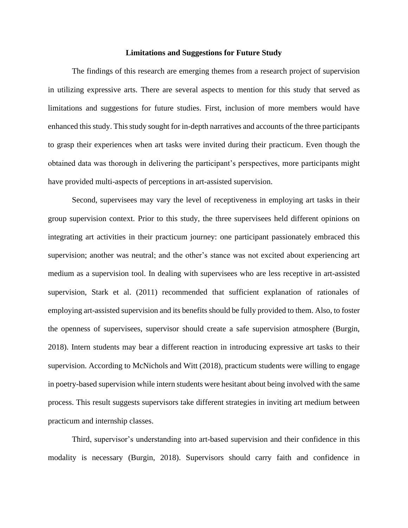#### **Limitations and Suggestions for Future Study**

The findings of this research are emerging themes from a research project of supervision in utilizing expressive arts. There are several aspects to mention for this study that served as limitations and suggestions for future studies. First, inclusion of more members would have enhanced this study. This study sought for in-depth narratives and accounts of the three participants to grasp their experiences when art tasks were invited during their practicum. Even though the obtained data was thorough in delivering the participant's perspectives, more participants might have provided multi-aspects of perceptions in art-assisted supervision.

Second, supervisees may vary the level of receptiveness in employing art tasks in their group supervision context. Prior to this study, the three supervisees held different opinions on integrating art activities in their practicum journey: one participant passionately embraced this supervision; another was neutral; and the other's stance was not excited about experiencing art medium as a supervision tool. In dealing with supervisees who are less receptive in art-assisted supervision, Stark et al. (2011) recommended that sufficient explanation of rationales of employing art-assisted supervision and its benefits should be fully provided to them. Also, to foster the openness of supervisees, supervisor should create a safe supervision atmosphere (Burgin, 2018). Intern students may bear a different reaction in introducing expressive art tasks to their supervision. According to McNichols and Witt (2018), practicum students were willing to engage in poetry-based supervision while intern students were hesitant about being involved with the same process. This result suggests supervisors take different strategies in inviting art medium between practicum and internship classes.

Third, supervisor's understanding into art-based supervision and their confidence in this modality is necessary (Burgin, 2018). Supervisors should carry faith and confidence in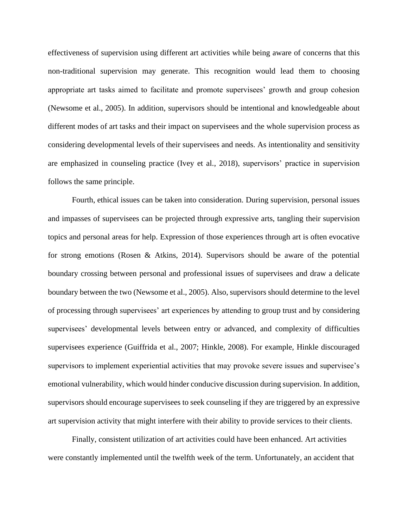effectiveness of supervision using different art activities while being aware of concerns that this non-traditional supervision may generate. This recognition would lead them to choosing appropriate art tasks aimed to facilitate and promote supervisees' growth and group cohesion (Newsome et al., 2005). In addition, supervisors should be intentional and knowledgeable about different modes of art tasks and their impact on supervisees and the whole supervision process as considering developmental levels of their supervisees and needs. As intentionality and sensitivity are emphasized in counseling practice (Ivey et al., 2018), supervisors' practice in supervision follows the same principle.

Fourth, ethical issues can be taken into consideration. During supervision, personal issues and impasses of supervisees can be projected through expressive arts, tangling their supervision topics and personal areas for help. Expression of those experiences through art is often evocative for strong emotions (Rosen & Atkins, 2014). Supervisors should be aware of the potential boundary crossing between personal and professional issues of supervisees and draw a delicate boundary between the two (Newsome et al., 2005). Also, supervisors should determine to the level of processing through supervisees' art experiences by attending to group trust and by considering supervisees' developmental levels between entry or advanced, and complexity of difficulties supervisees experience (Guiffrida et al., 2007; Hinkle, 2008). For example, Hinkle discouraged supervisors to implement experiential activities that may provoke severe issues and supervisee's emotional vulnerability, which would hinder conducive discussion during supervision. In addition, supervisors should encourage supervisees to seek counseling if they are triggered by an expressive art supervision activity that might interfere with their ability to provide services to their clients.

Finally, consistent utilization of art activities could have been enhanced. Art activities were constantly implemented until the twelfth week of the term. Unfortunately, an accident that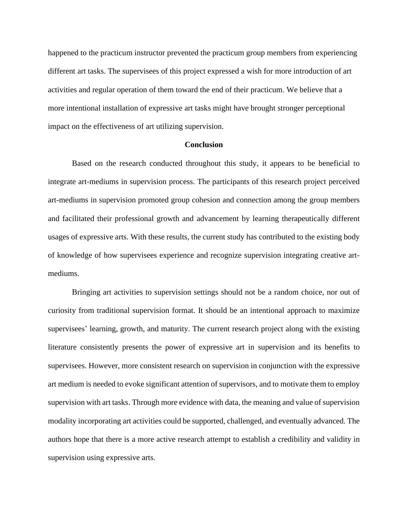happened to the practicum instructor prevented the practicum group members from experiencing different art tasks. The supervisees of this project expressed a wish for more introduction of art activities and regular operation of them toward the end of their practicum. We believe that a more intentional installation of expressive art tasks might have brought stronger perceptional impact on the effectiveness of art utilizing supervision.

#### **Conclusion**

Based on the research conducted throughout this study, it appears to be beneficial to integrate art-mediums in supervision process. The participants of this research project perceived art-mediums in supervision promoted group cohesion and connection among the group members and facilitated their professional growth and advancement by learning therapeutically different usages of expressive arts. With these results, the current study has contributed to the existing body of knowledge of how supervisees experience and recognize supervision integrating creative artmediums.

Bringing art activities to supervision settings should not be a random choice, nor out of curiosity from traditional supervision format. It should be an intentional approach to maximize supervisees' learning, growth, and maturity. The current research project along with the existing literature consistently presents the power of expressive art in supervision and its benefits to supervisees. However, more consistent research on supervision in conjunction with the expressive art medium is needed to evoke significant attention of supervisors, and to motivate them to employ supervision with art tasks. Through more evidence with data, the meaning and value of supervision modality incorporating art activities could be supported, challenged, and eventually advanced. The authors hope that there is a more active research attempt to establish a credibility and validity in supervision using expressive arts.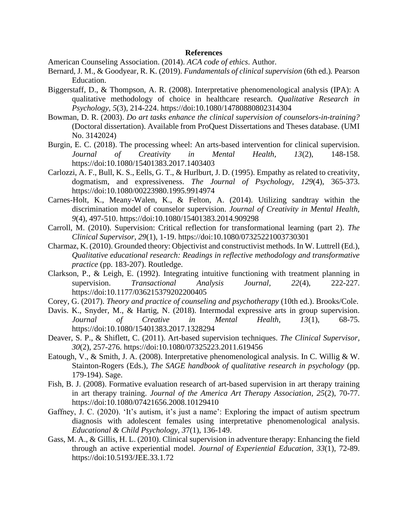#### **References**

American Counseling Association. (2014). *ACA code of ethics*. Author.

- Bernard, J. M., & Goodyear, R. K. (2019). *Fundamentals of clinical supervision* (6th ed.)*.* Pearson Education.
- Biggerstaff, D., & Thompson, A. R. (2008). Interpretative phenomenological analysis (IPA): A qualitative methodology of choice in healthcare research. *Qualitative Research in Psychology, 5*(3), 214-224. https://doi:10.1080/14780880802314304
- Bowman, D. R. (2003). *Do art tasks enhance the clinical supervision of counselors-in-training?* (Doctoral dissertation). Available from ProQuest Dissertations and Theses database. (UMI No. 3142024)
- Burgin, E. C. (2018). The processing wheel: An arts-based intervention for clinical supervision. *Journal of Creativity in Mental Health, 13*(2), 148-158. https://doi:10.1080/15401383.2017.1403403
- Carlozzi, A. F., Bull, K. S., Eells, G. T., & Hurlburt, J. D. (1995). Empathy as related to creativity, dogmatism, and expressiveness. *The Journal of Psychology, 129*(4), 365-373. https://doi:10.1080/00223980.1995.9914974
- Carnes-Holt, K., Meany-Walen, K., & Felton, A. (2014). Utilizing sandtray within the discrimination model of counselor supervision. *Journal of Creativity in Mental Health, 9*(4), 497-510. https://doi:10.1080/15401383.2014.909298
- Carroll, M. (2010). Supervision: Critical reflection for transformational learning (part 2). *The Clinical Supervisor, 29*(1), 1-19. https://doi:10.1080/07325221003730301
- Charmaz, K. (2010). Grounded theory: Objectivist and constructivist methods. In W. Luttrell (Ed.), *Qualitative educational research: Readings in reflective methodology and transformative practice* (pp. 183-207). Routledge.
- Clarkson, P., & Leigh, E. (1992). Integrating intuitive functioning with treatment planning in supervision. *Transactional Analysis Journal, 22*(4), 222-227. https://doi:10.1177/036215379202200405
- Corey, G. (2017). *Theory and practice of counseling and psychotherapy* (10th ed.). Brooks/Cole.
- Davis. K., Snyder, M., & Hartig, N. (2018). Intermodal expressive arts in group supervision. *Journal of Creative in Mental Health, 13*(1), 68-75. https://doi:10.1080/15401383.2017.1328294
- Deaver, S. P., & Shiflett, C. (2011). Art-based supervision techniques. *The Clinical Supervisor, 30*(2), 257-276. https://doi:10.1080/07325223.2011.619456
- Eatough, V., & Smith, J. A. (2008). Interpretative phenomenological analysis. In C. Willig & W. Stainton-Rogers (Eds.), *The SAGE handbook of qualitative research in psychology* (pp. 179-194). Sage.
- Fish, B. J. (2008). Formative evaluation research of art-based supervision in art therapy training in art therapy training. *Journal of the America Art Therapy Association, 25*(2), 70-77. https://doi:10.1080/07421656.2008.10129410
- Gaffney, J. C. (2020). 'It's autism, it's just a name': Exploring the impact of autism spectrum diagnosis with adolescent females using interpretative phenomenological analysis. *Educational & Child Psychology, 3*7(1), 136-149.
- Gass, M. A., & Gillis, H. L. (2010). Clinical supervision in adventure therapy: Enhancing the field through an active experiential model. *Journal of Experiential Education, 33*(1), 72-89. https://doi:10.5193/JEE.33.1.72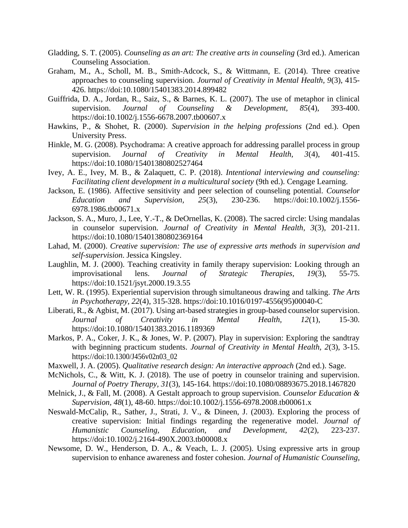- Gladding, S. T. (2005). *Counseling as an art: The creative arts in counseling* (3rd ed.). American Counseling Association.
- Graham, M., A., Scholl, M. B., Smith-Adcock, S., & Wittmann, E. (2014). Three creative approaches to counseling supervision. *Journal of Creativity in Mental Health, 9*(3), 415- 426. https://doi:10.1080/15401383.2014.899482
- Guiffrida, D. A., Jordan, R., Saiz, S., & Barnes, K. L. (2007). The use of metaphor in clinical supervision. *Journal of Counseling & Development, 85*(4), 393-400. https://doi:10.1002/j.1556-6678.2007.tb00607.x
- Hawkins, P., & Shohet, R. (2000). *Supervision in the helping professions* (2nd ed.). Open University Press.
- Hinkle, M. G. (2008). Psychodrama: A creative approach for addressing parallel process in group supervision. *Journal of Creativity in Mental Health, 3*(4), 401-415. https://doi:10.1080/15401380802527464
- Ivey, A. E., Ivey, M. B., & Zalaquett, C. P. (2018). *Intentional interviewing and counseling: Facilitating client development in a multicultural society* (9th ed.). Cengage Learning.
- Jackson, E. (1986). Affective sensitivity and peer selection of counseling potential. *Counselor Education and Supervision, 25*(3), 230-236. https://doi:10.1002/j.1556- 6978.1986.tb00671.x
- Jackson, S. A., Muro, J., Lee, Y.-T., & DeOrnellas, K. (2008). The sacred circle: Using mandalas in counselor supervision. *Journal of Creativity in Mental Health, 3*(3), 201-211. https://doi:10.1080/15401380802369164
- Lahad, M. (2000). *Creative supervision: The use of expressive arts methods in supervision and self-supervision*. Jessica Kingsley.
- Laughlin, M. J. (2000). Teaching creativity in family therapy supervision: Looking through an improvisational lens. *Journal of Strategic Therapies, 19*(3), 55-75. https://doi:10.1521/jsyt.2000.19.3.55
- Lett, W. R. (1995). Experiential supervision through simultaneous drawing and talking. *The Arts in Psychotherapy, 22*(4), 315-328. https://doi[:10.1016/0197-4556\(95\)00040-C](https://doi.org/10.1016/0197-4556(95)00040-C)
- Liberati, R., & Agbist, M. (2017). Using art-based strategies in group-based counselor supervision. *Journal of Creativity in Mental Health, 12*(1), 15-30. https://doi:10.1080/15401383.2016.1189369
- Markos, P. A., Coker, J. K., & Jones, W. P. (2007). Play in supervision: Exploring the sandtray with beginning practicum students. *Journal of Creativity in Mental Health, 2*(3), 3-15. https://doi:10.1300/J456v02n03\_02
- Maxwell, J. A. (2005). *Qualitative research design: An interactive approach* (2nd ed.). Sage.
- McNichols, C., & Witt, K. J. (2018). The use of poetry in counselor training and supervision. *Journal of Poetry Therapy, 31*(3), 145-164. https://doi:10.1080/08893675.2018.1467820
- Melnick, J., & Fall, M. (2008). A Gestalt approach to group supervision. *Counselor Education & Supervision, 48*(1), 48-60. https:/[/doi:10.1002/j.1556-6978.2008.tb00061.x](https://doi.org/10.1002/j.1556-6978.2008.tb00061.x)
- Neswald-McCalip, R., Sather, J., Strati, J. V., & Dineen, J. (2003). Exploring the process of creative supervision: Initial findings regarding the regenerative model. *Journal of Humanistic Counseling, Education, and Development, 42*(2), 223-237. https://doi:10.1002/j.2164-490X.2003.tb00008.x
- Newsome, D. W., Henderson, D. A., & Veach, L. J. (2005). Using expressive arts in group supervision to enhance awareness and foster cohesion. *Journal of Humanistic Counseling,*